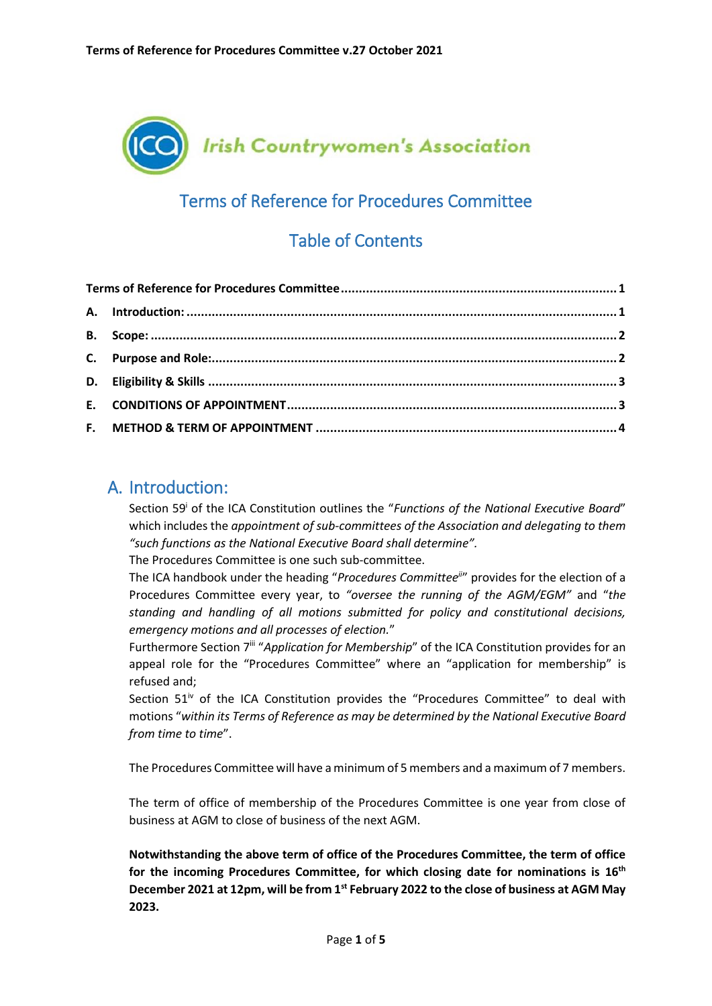<span id="page-0-0"></span>

# Terms of Reference for Procedures Committee

# Table of Contents

### <span id="page-0-1"></span>A. Introduction:

Section 59<sup>i</sup> of the ICA Constitution outlines the "Functions of the National Executive Board" which includes the *appointment of sub-committees of the Association and delegating to them "such functions as the National Executive Board shall determine".* 

The Procedures Committee is one such sub-committee.

The ICA handbook under the heading "*Procedures Committeeii*" provides for the election of a Procedures Committee every year, to *"oversee the running of the AGM/EGM"* and "*the standing and handling of all motions submitted for policy and constitutional decisions, emergency motions and all processes of election.*"

Furthermore Section 7<sup>iii</sup> "Application for Membership" of the ICA Constitution provides for an appeal role for the "Procedures Committee" where an "application for membership" is refused and;

Section  $51^{\dot{v}}$  of the ICA Constitution provides the "Procedures Committee" to deal with motions "*within its Terms of Reference as may be determined by the National Executive Board from time to time*".

The Procedures Committee will have a minimum of 5 members and a maximum of 7 members.

The term of office of membership of the Procedures Committee is one year from close of business at AGM to close of business of the next AGM.

**Notwithstanding the above term of office of the Procedures Committee, the term of office for the incoming Procedures Committee, for which closing date for nominations is 16th December 2021 at 12pm, will be from 1st February 2022 to the close of business at AGM May 2023.**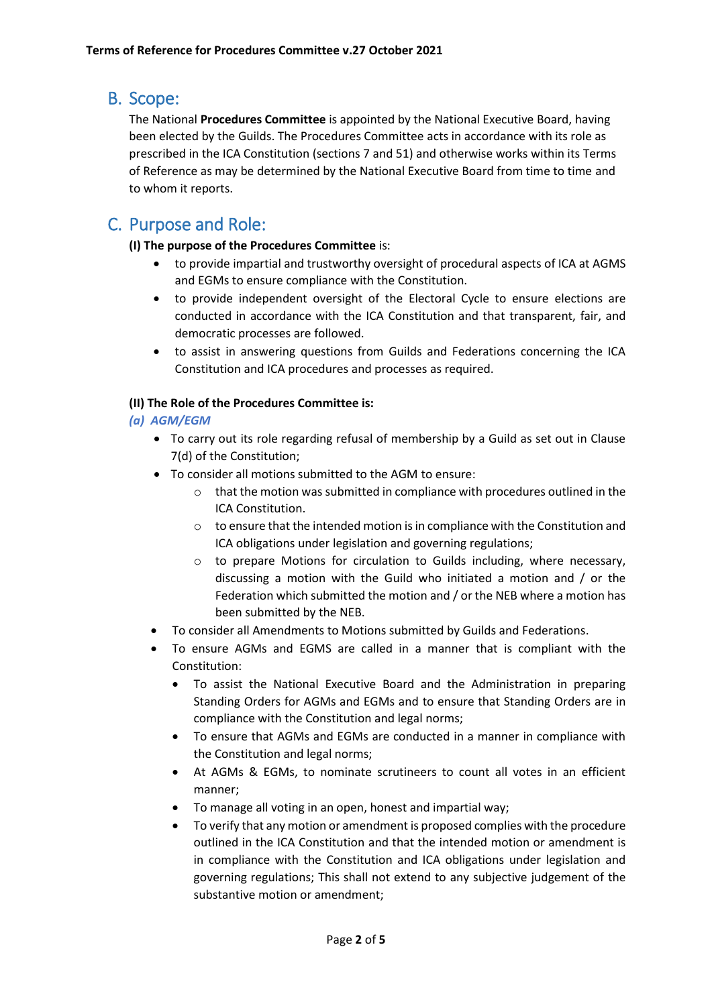### <span id="page-1-0"></span>B. Scope:

The National **Procedures Committee** is appointed by the National Executive Board, having been elected by the Guilds. The Procedures Committee acts in accordance with its role as prescribed in the ICA Constitution (sections 7 and 51) and otherwise works within its Terms of Reference as may be determined by the National Executive Board from time to time and to whom it reports.

## <span id="page-1-1"></span>C. Purpose and Role:

#### **(I) The purpose of the Procedures Committee** is:

- to provide impartial and trustworthy oversight of procedural aspects of ICA at AGMS and EGMs to ensure compliance with the Constitution.
- to provide independent oversight of the Electoral Cycle to ensure elections are conducted in accordance with the ICA Constitution and that transparent, fair, and democratic processes are followed.
- to assist in answering questions from Guilds and Federations concerning the ICA Constitution and ICA procedures and processes as required.

#### **(II) The Role of the Procedures Committee is:**

#### *(a) AGM/EGM*

- To carry out its role regarding refusal of membership by a Guild as set out in Clause 7(d) of the Constitution;
- To consider all motions submitted to the AGM to ensure:
	- $\circ$  that the motion was submitted in compliance with procedures outlined in the ICA Constitution.
	- $\circ$  to ensure that the intended motion is in compliance with the Constitution and ICA obligations under legislation and governing regulations;
	- o to prepare Motions for circulation to Guilds including, where necessary, discussing a motion with the Guild who initiated a motion and / or the Federation which submitted the motion and / or the NEB where a motion has been submitted by the NEB.
- To consider all Amendments to Motions submitted by Guilds and Federations.
- To ensure AGMs and EGMS are called in a manner that is compliant with the Constitution:
	- To assist the National Executive Board and the Administration in preparing Standing Orders for AGMs and EGMs and to ensure that Standing Orders are in compliance with the Constitution and legal norms;
	- To ensure that AGMs and EGMs are conducted in a manner in compliance with the Constitution and legal norms;
	- At AGMs & EGMs, to nominate scrutineers to count all votes in an efficient manner;
	- To manage all voting in an open, honest and impartial way;
	- To verify that any motion or amendment is proposed complies with the procedure outlined in the ICA Constitution and that the intended motion or amendment is in compliance with the Constitution and ICA obligations under legislation and governing regulations; This shall not extend to any subjective judgement of the substantive motion or amendment;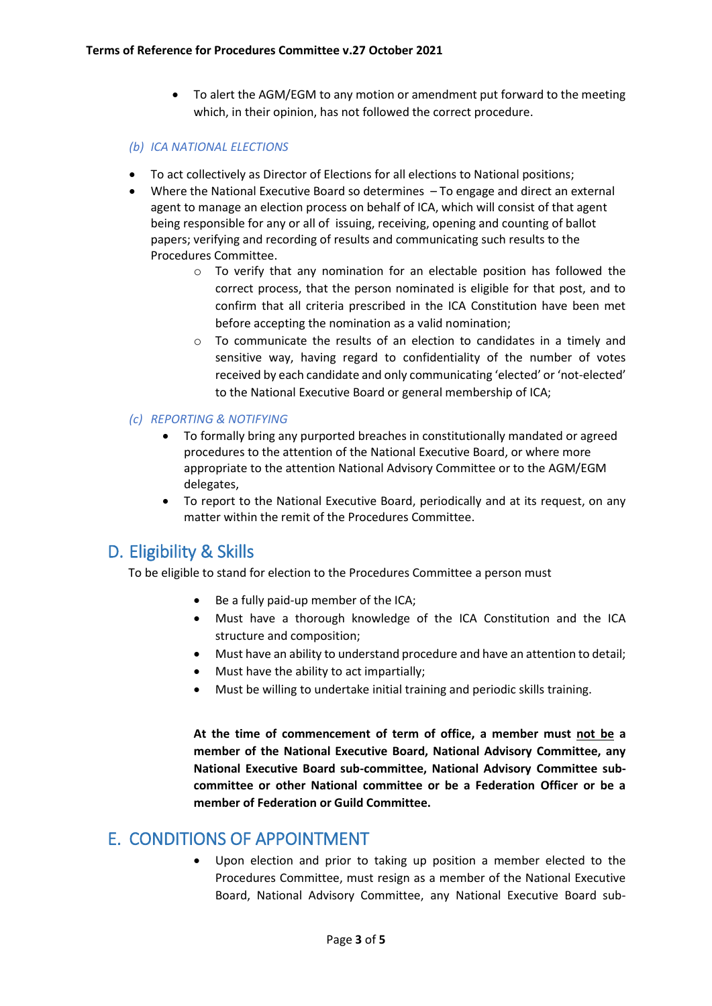To alert the AGM/EGM to any motion or amendment put forward to the meeting which, in their opinion, has not followed the correct procedure.

#### *(b) ICA NATIONAL ELECTIONS*

- To act collectively as Director of Elections for all elections to National positions;
- Where the National Executive Board so determines To engage and direct an external agent to manage an election process on behalf of ICA, which will consist of that agent being responsible for any or all of issuing, receiving, opening and counting of ballot papers; verifying and recording of results and communicating such results to the Procedures Committee.
	- o To verify that any nomination for an electable position has followed the correct process, that the person nominated is eligible for that post, and to confirm that all criteria prescribed in the ICA Constitution have been met before accepting the nomination as a valid nomination;
	- o To communicate the results of an election to candidates in a timely and sensitive way, having regard to confidentiality of the number of votes received by each candidate and only communicating 'elected' or 'not-elected' to the National Executive Board or general membership of ICA;

#### *(c) REPORTING & NOTIFYING*

- To formally bring any purported breaches in constitutionally mandated or agreed procedures to the attention of the National Executive Board, or where more appropriate to the attention National Advisory Committee or to the AGM/EGM delegates,
- To report to the National Executive Board, periodically and at its request, on any matter within the remit of the Procedures Committee.

## <span id="page-2-0"></span>D. Eligibility & Skills

To be eligible to stand for election to the Procedures Committee a person must

- Be a fully paid-up member of the ICA;
- Must have a thorough knowledge of the ICA Constitution and the ICA structure and composition;
- Must have an ability to understand procedure and have an attention to detail;
- Must have the ability to act impartially;
- Must be willing to undertake initial training and periodic skills training.

**At the time of commencement of term of office, a member must not be a member of the National Executive Board, National Advisory Committee, any National Executive Board sub-committee, National Advisory Committee subcommittee or other National committee or be a Federation Officer or be a member of Federation or Guild Committee.**

### <span id="page-2-1"></span>E. CONDITIONS OF APPOINTMENT

 Upon election and prior to taking up position a member elected to the Procedures Committee, must resign as a member of the National Executive Board, National Advisory Committee, any National Executive Board sub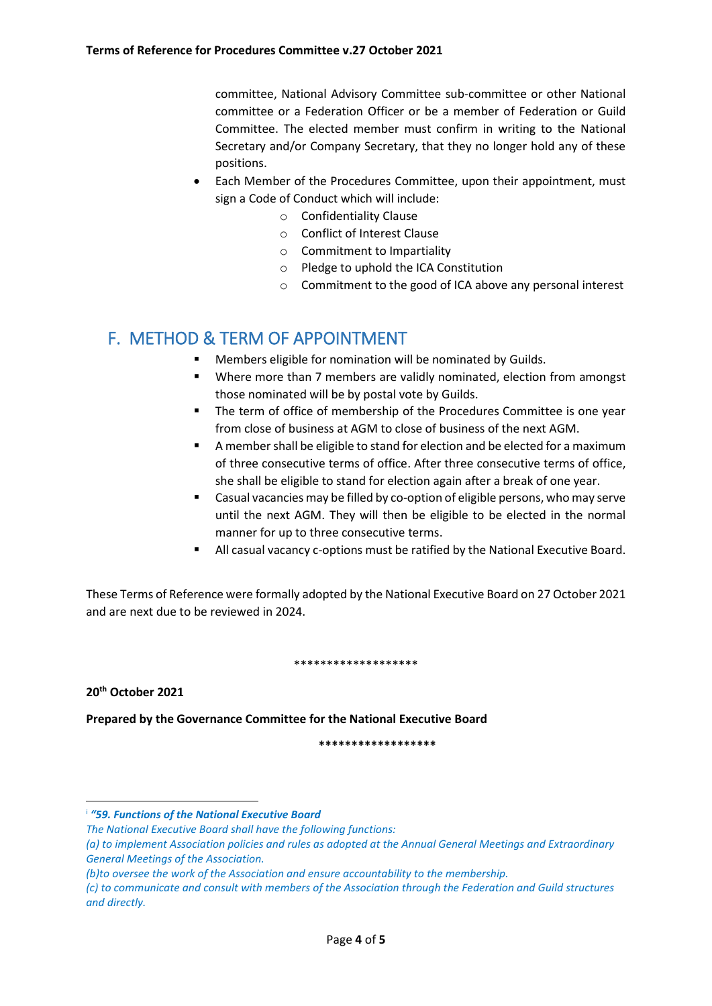committee, National Advisory Committee sub-committee or other National committee or a Federation Officer or be a member of Federation or Guild Committee. The elected member must confirm in writing to the National Secretary and/or Company Secretary, that they no longer hold any of these positions.

- Each Member of the Procedures Committee, upon their appointment, must sign a Code of Conduct which will include:
	- o Confidentiality Clause
	- o Conflict of Interest Clause
	- o Commitment to Impartiality
	- o Pledge to uphold the ICA Constitution
	- o Commitment to the good of ICA above any personal interest

## <span id="page-3-0"></span>F. METHOD & TERM OF APPOINTMENT

- Members eligible for nomination will be nominated by Guilds.
- Where more than 7 members are validly nominated, election from amongst those nominated will be by postal vote by Guilds.
- **The term of office of membership of the Procedures Committee is one year** from close of business at AGM to close of business of the next AGM.
- A member shall be eligible to stand for election and be elected for a maximum of three consecutive terms of office. After three consecutive terms of office, she shall be eligible to stand for election again after a break of one year.
- Casual vacancies may be filled by co-option of eligible persons, who may serve until the next AGM. They will then be eligible to be elected in the normal manner for up to three consecutive terms.
- All casual vacancy c-options must be ratified by the National Executive Board.

These Terms of Reference were formally adopted by the National Executive Board on 27 October 2021 and are next due to be reviewed in 2024.

\*\*\*\*\*\*\*\*\*\*\*\*\*\*\*\*\*\*\*

**20th October 2021**

1

**Prepared by the Governance Committee for the National Executive Board**

**\*\*\*\*\*\*\*\*\*\*\*\*\*\*\*\*\*\***

i *"59. Functions of the National Executive Board*

*The National Executive Board shall have the following functions:* 

*<sup>(</sup>a) to implement Association policies and rules as adopted at the Annual General Meetings and Extraordinary General Meetings of the Association.* 

*<sup>(</sup>b)to oversee the work of the Association and ensure accountability to the membership.* 

*<sup>(</sup>c) to communicate and consult with members of the Association through the Federation and Guild structures and directly.*